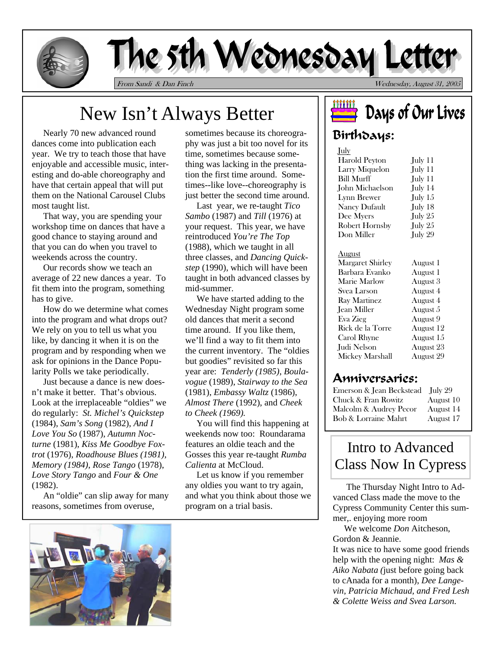

# The 5th Wednesday Letter

From Sandi & Dan Finch Wednesday, August 31, 2005

# New Isn't Always Better

 Nearly 70 new advanced round dances come into publication each year. We try to teach those that have enjoyable and accessible music, interesting and do-able choreography and have that certain appeal that will put them on the National Carousel Clubs most taught list.

 That way, you are spending your workshop time on dances that have a good chance to staying around and that you can do when you travel to weekends across the country.

 Our records show we teach an average of 22 new dances a year. To fit them into the program, something has to give.

 How do we determine what comes into the program and what drops out? We rely on you to tell us what you like, by dancing it when it is on the program and by responding when we ask for opinions in the Dance Popularity Polls we take periodically.

 Just because a dance is new doesn't make it better. That's obvious. Look at the irreplaceable "oldies" we do regularly: *St. Michel's Quickstep* (1984), *Sam's Song* (1982), *And I Love You So* (1987), *Autumn Nocturne* (1981), *Kiss Me Goodbye Foxtrot* (1976), *Roadhouse Blues (1981)*, *Memory (1984)*, *Rose Tango* (1978), *Love Story Tango* and *Four & One*  (1982).

 An "oldie" can slip away for many reasons, sometimes from overuse,

sometimes because its choreography was just a bit too novel for its time, sometimes because something was lacking in the presentation the first time around. Sometimes--like love--choreography is just better the second time around.

 Last year, we re-taught *Tico Sambo* (1987) and *Till* (1976) at your request. This year, we have reintroduced *You're The Top*  (1988), which we taught in all three classes, and *Dancing Quickstep* (1990), which will have been taught in both advanced classes by mid-summer.

 We have started adding to the Wednesday Night program some old dances that merit a second time around. If you like them, we'll find a way to fit them into the current inventory. The "oldies but goodies" revisited so far this year are: *Tenderly (1985)*, *Boulavogue* (1989), *Stairway to the Sea* (1981), *Embassy Waltz* (1986), *Almost There* (1992), and *Cheek to Cheek (1969).* 

You will find this happening at weekends now too: Roundarama features an oldie teach and the Gosses this year re-taught *Rumba Calienta* at McCloud.

 Let us know if you remember any oldies you want to try again, and what you think about those we program on a trial basis.



### Birthdays:

| July                    |           |
|-------------------------|-----------|
| <b>Harold Peyton</b>    | July 11   |
| Larry Miquelon          | July 11   |
| <b>Bill Murff</b>       | July 11   |
| John Michaelson         | July 14   |
| Lynn Brewer             | July $15$ |
| Nancy Dufault           | July 18   |
| Dee Myers               | July 25   |
| <b>Robert Hornsby</b>   | July 25   |
| Don Miller              | July 29   |
|                         |           |
| <u>August</u>           |           |
| <b>Margaret Shirley</b> | August 1  |
| Barbara Evanko          | August 1  |
| <b>Marie Marlow</b>     | August 3  |
| Svea Larson             | August 4  |
| Ray Martinez            | August 4  |
| Jean Miller             | August 5  |
| Eva Zieg                | August 9  |
| Rick de la Torre        | August 12 |
| Carol Rhyne             | August 15 |
| Judi Nelson             | August 23 |
| Mickey Marshall         | August 29 |
|                         |           |

#### Anniversaries:

Emerson & Jean Beckstead July 29 Chuck & Fran Rowitz August 10 Malcolm & Audrey Pecor August 14 Bob & Lorraine Mahrt August 17

## Intro to Advanced Class Now In Cypress

The Thursday Night Intro to Advanced Class made the move to the Cypress Community Center this summer,. enjoying more room

 We welcome *Don* Aitcheson, Gordon & Jeannie.

It was nice to have some good friends help with the opening night: *Mas & Aiko Nabata (*just before going back to cAnada for a month), *Dee Langevin, Patricia Michaud, and Fred Lesh & Colette Weiss and Svea Larson.*